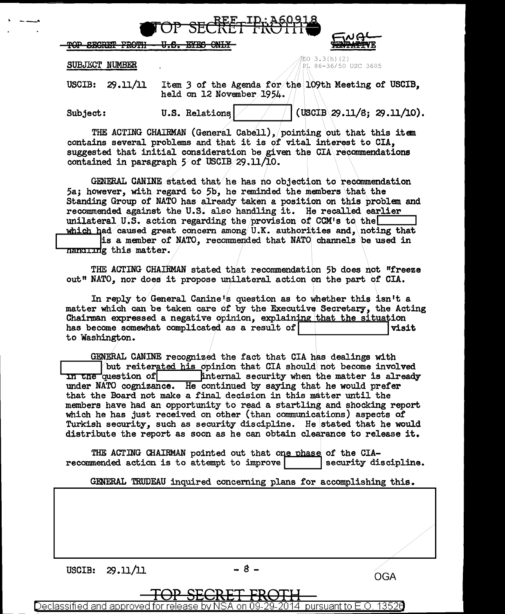$\bullet$  TOP SECRET FROTH  $\bullet$   $\epsilon_{\text{wgt}}$ 

 ${\rm FOP}$  secret Froth - U.S. byes only

SUBJECT NUMBER

. \_ \_\_,.

 $EO 3.3(h) (2)$ PL 86-36/50 USC 3605

USCIB:  $29.11/11$  Item 3 of the Agenda for the 109th Meeting of USCIB. held on 12 November 1954.

Subject:  $U.S.$  Relations  $\vert$  / (USCIB\29.11/S; 29.11/10).

THE ACTING CHAIRMAN (General Cabell), pointing out that this item contains several problems and that it is of vital interest to CIA, suggested that initial consideration be given the CIA\recommendations contained in paragraph 5 of USCIB 29.11/10.

GENERAL CANINE stated that he has no objection to recommendation 5a; however, with regard to 5b, he reminded the members\that the Standing Group of NATO has already taken a position on this problem and recommended against the U.S. also handling it. He recalled earlier unilateral U.S. action regarding the provision of CCM's to the

which had caused great concern among U.K. authorities and, noting that is a member of NATO, recommended that NATO channels be used in nanding this matter.

THE ACTING CHAIRMAN stated that recommendation 5b does not "freeze out" NATO, nor does it propose unilateral action on the part of CIA.

In reply to General Canine's question as to whether this isn't a matter which can be taken care of by the Executive Secretary, the Acting Chairman expressed a negative Opinion, explaining that the situation has become somewhat complicated as a result of **I I** visit to Washington.

GENERAL CANINE recognized the fact that CIA has dealings with  $\frac{1}{10}$  but reiterated his opinion that CIA should not become involved in the question of  $\begin{bmatrix} 1 & 0 & 0 \\ 0 & 0 & 0 \\ 0 & 0 & 0 \end{bmatrix}$  internal security when the matter is already internal security when the matter is already under NATO cognizance. He continued by saying that he would prefer that the Board not make a final decision in this matter until the members have had an opportunity to read a startling and shocking report which he has just received on other (than communications) aspects of Turkish security, such as security discipline. He stated that he would distribute the report as soon as he can obtain clearance to release it.

THE ACTING CHAIRMAN pointed out that one phase of the CIA-<br>mended action is to attempt to improve recommended action is to attempt to improve

GENERAL TRUDEAU inquired concerning plans for accomplishing this •

USCIB:  $29.11/11$   $-8$   $-$ 

TOP SECRET FROTH Declassified and approved for release by NSA on 09-29-2014 pursuantto E.O. 1352a

*..* / *..* /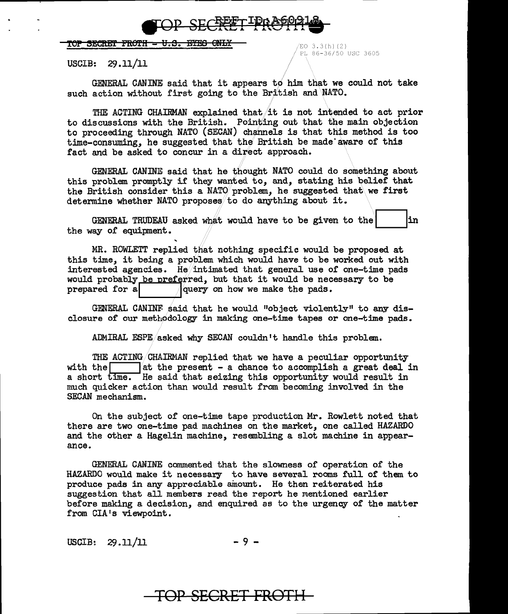

## TOP SECRET FROTH -  $U.S.$  EYES ONLY  $\longrightarrow$

*<sup>i</sup>*PL 86-36/50 USC 3605

USCIB: 29.11/11

GENERAL CANINE said that it appears to him that we could not take such action without first going to the British and NATO.

THE ACTING CHAIRMAN explained that it is not intended to act prior to discussions with the British. Pointing out that the main objection to proceeding through NATO (SECAN) channels is that this method is too time-consuming, he suggested that the British be made aware of this fact and be asked to concur in a direct approach.

GENERAL CANINE said that he thought NATO could do something about this problem promptly if they wanted to, and, stating his belief that the British consider this a NATO problem, he suggested that we first determine whether NATO proposes to do anything about it.

GENERAL TRUDEAU asked what would have to be given to the | |in the way of equipment.

MR. ROWLETT replied that nothing specific would be proposed at this time, it being a problem which would have to be worked out with interested agencies. He/intimated that general use of one-time pads would probably be preferred, but that it would be necessary to be prepared for a  $\sqrt{\text{query}}$  on how we make the pads. query on how we make the pads.

GENERAL CANINF said that he would "object violently" to any disclosure of our methodology in making one-time tapes or one-time pads.

ADMIRAL ESPE/asked why SECAN couldn't handle this problem.

THE ACTING/CHAIRMAN replied that we have a peculiar opportunity with the  $\begin{bmatrix} a & b \end{bmatrix}$  at the present - a chance to accomplish a great deal in a short time. He said that seizing this opportunity would result in much quicker action than would result from becoming involved in the SECAN mechanism.

On the subject of one-time tape production Mr. Rowlett noted that there are two one-time pad machines on the market, one called HAZARDO and the other a Hagelin machine, resembling a slot machine in appearance.

GENERAL CANINE commented that the slowness of operation of the HAZARDO would make it necessary to have several rooms full of them to produce pads in any appreciable amount. He then reiterated his suggestion that all members read the report he mentioned earlier before making a decision, and enquired as to the urgency of the matter from CIA's viewpoint.

 $USCIB: 29.11/11$  - 9 -

## TOP SECRET FROTH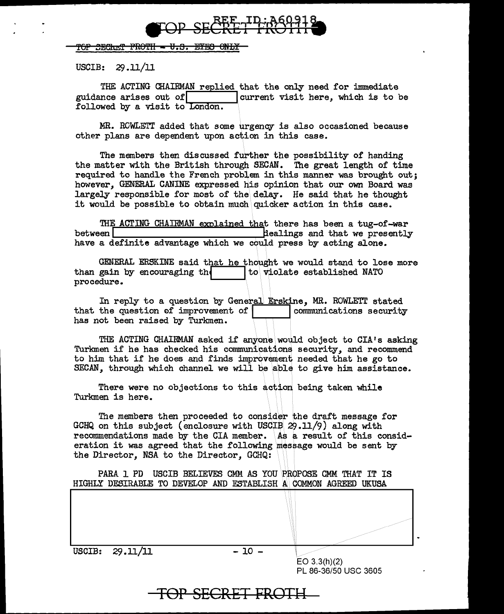

## TOP <del>SECRAT FROTH - U.S. EYES ONLY</del>

USCIB: 29 .11/11

THE ACTING CHAIRMAN replied that the only need for immediate guidance arises out orl !current visit here, which is to be followed by a visit to London.

MR. ROWLETT added that some urgency is also occasioned because other plans are dependent upon action in this case.

The members then discussed further the possibility of handing the matter with the British through SECAN. The great length of' time required to handle the French problem in this manner was brought out; however, GENERAL CANINE expressed his opinion that our own Board was largely responsible for most of the delay. He said that he thought it would be possible to obtain much quicker action in this case.

THE ACTING CHAIRMAN explained that there has been a tug-of-war<br>between a that we presently dealings and that we presently have a definite advantage which we could press by acting alone.

GENERAL ERSKINE said that he thought we would stand to lose more than gain by encouraging the  $\vert$  to violate established NATO procedure.

In reply to a question by General Erskine, MR. ROWLETT stated that the question of improvement of has not been raised by Turkmen.

THE ACTING CHAIRMAN asked if anyone would object to CIA's asking Turkmen if he has checked his communications security, and recommend to him that if he does and finds improvement needed that he go to  $SECAN$ , through which channel we will be able to give him assistance.

There were no objections to this action being taken while Turkmen is here.

The members then proceeded to consider the draft message for GCHQ on this subject (enclosure with USCIB 29.11/9) along with recommendations made by the CIA member. As a result of this consideration it was agreed that the following message would be sent by the Director, NSA to the Director, GCHQ:

PARA 1 PD USCIB BELIEVES GMM AS YOU PROPOSE CMM THAT IT IS HIGHLY DESIRABLE TO DEVELOP AND ESTABLISH A COMMON AGREED UKUSA

**TOP SECRET FROTH** 

EO 3.3(h)(2) PL 86-36/50 USC 3605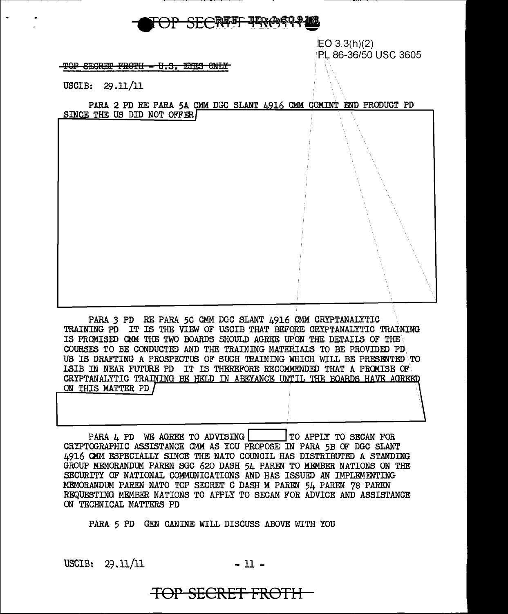

EO 3.3(h)(2) Pt 86-36/50 USC 3605

TOP SECRET FROTH - U.S. EYES ONLY

USCIB: 29.11/11

PARA 2 PD RE PARA 5A CMM DGC SLANT 4916 CMM COMINT END PRODUCT PD SINCE THE US DID NOT OFFER

PARA *3* PD RE PARA 5C CMM DGC SLANT 4916 CMM CRYPTANALYTIC TRAINING PD IT IS THE VIEW OF USCIB THAT BEFORE CRYPTANALYTIC TRAINING IS PROMISED CMM THE TWO BOARDS SHOULD AGREE UPON THE DETAILS OF THE COURSES TO BE CONDUCTED AND THE TRAINING MATERIALS TO BE PROVIDED PD US IS DRAFTING A PROSPECTUS OF SUCH TRAINING WHICH WILL BE PRESENTED  $\overline{TO}$ LSIB IN NEAR FUTURE PD IT IS THEREFORE RECOMMENDED THAT A PROMISE OF CRYPTANALYTIC TRAINING BE HELD IN ABEYANCE UNTIL THE BOARDS HAVE AGREED ON THIS MATTER PD

PARA 4 PD WE AGREE TO ADVISING | | TO APPLY TO SECAN FOR CRYPTOGRAPHIC ASSISTANCE CMM AS YOU PROPOSE IN PARA 5B OF DGC SLANT 4916 CMM ESPECIALLY SINCE THE NATO COUNCIL HAS DISTRIBUTED A STANDING GROUP MEMORANDUM PAREN SGC 620 DASH 54 PAREN TO MEMBER NATIONS ON THE SECURITY OF NATIONAL COMMUNICATIONS AND HAS ISSUED AN IMPLEMENTING MEMORANDUM PAREN NATO TOP SECRET C DASH M PAREN 54 PAREN 78 PAREN REQUESTING MEMBER NATIONS TO APPLY TO SECAN FOR ADVICE AND ASSISTANCE ON TECHNICAL MATTERS PD

PARA *5* PD GEN CANINE WILL DISCUSS ABOVE WITH YOU

USCIB:  $29.11/11$  - 11 -

## **TOP SECRET FROTH**